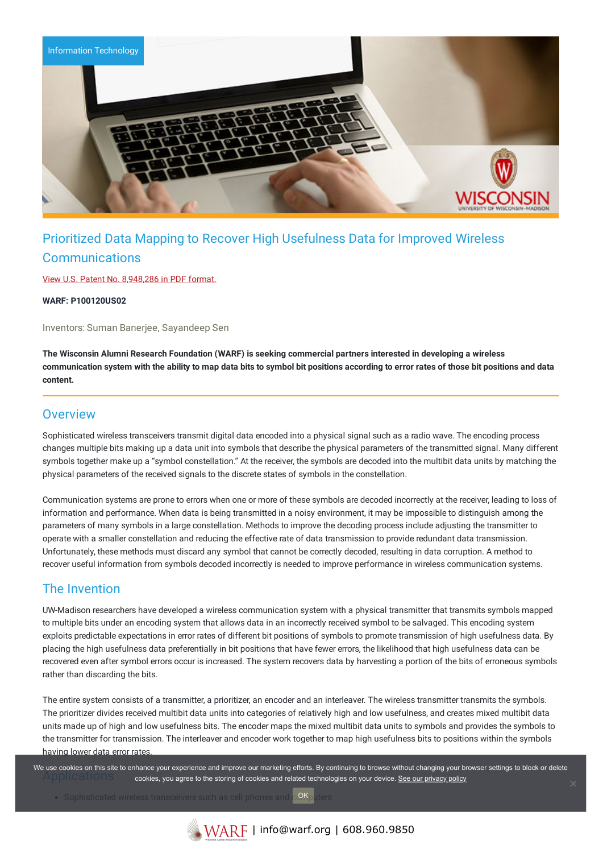

# Prioritized Data Mapping to Recover High Usefulness Data for Improved Wireless **Communications**

View U.S. Patent No. [8,948,286](https://www.warf.org/wp-content/uploads/technologies/ipstatus/P100120US02.pdf) in PDF format.

**WARF: P100120US02**

Inventors: Suman Banerjee, Sayandeep Sen

**The Wisconsin Alumni Research Foundation (WARF) is seeking commercial partners interested in developing a wireless** communication system with the ability to map data bits to symbol bit positions according to error rates of those bit positions and data **content.**

#### **Overview**

Sophisticated wireless transceivers transmit digital data encoded into a physical signal such as a radio wave. The encoding process changes multiple bits making up a data unit into symbols that describe the physical parameters of the transmitted signal. Many different symbols together make up a "symbol constellation." At the receiver, the symbols are decoded into the multibit data units by matching the physical parameters of the received signals to the discrete states of symbols in the constellation.

Communication systems are prone to errors when one or more of these symbols are decoded incorrectly at the receiver, leading to loss of information and performance. When data is being transmitted in a noisy environment, it may be impossible to distinguish among the parameters of many symbols in a large constellation. Methods to improve the decoding process include adjusting the transmitter to operate with a smaller constellation and reducing the effective rate of data transmission to provide redundant data transmission. Unfortunately, these methods must discard any symbol that cannot be correctly decoded, resulting in data corruption. A method to recover useful information from symbols decoded incorrectly is needed to improve performance in wireless communication systems.

## The Invention

UW-Madison researchers have developed a wireless communication system with a physical transmitter that transmits symbols mapped to multiple bits under an encoding system that allows data in an incorrectly received symbol to be salvaged. This encoding system exploits predictable expectations in error rates of different bit positions of symbols to promote transmission of high usefulness data. By placing the high usefulness data preferentially in bit positions that have fewer errors, the likelihood that high usefulness data can be recovered even after symbol errors occur is increased. The system recovers data by harvesting a portion of the bits of erroneous symbols rather than discarding the bits.

The entire system consists of a transmitter, a prioritizer, an encoder and an interleaver. The wireless transmitter transmits the symbols. The prioritizer divides received multibit data units into categories of relatively high and low usefulness, and creates mixed multibit data units made up of high and low usefulness bits. The encoder maps the mixed multibit data units to symbols and provides the symbols to the transmitter for transmission. The interleaver and encoder work together to map high usefulness bits to positions within the symbols having lower data error rates.

We use cookies on this site to enhance your experience and improve our marketing efforts. By continuing to browse without changing your browser settings to block or delete cookies, you agree to the storing of cookies and related technologies on your device. [See our privacy policy](https://www.warf.org/privacy-policy/)

• Sophisticated wireless transceivers such as cell phones and OK